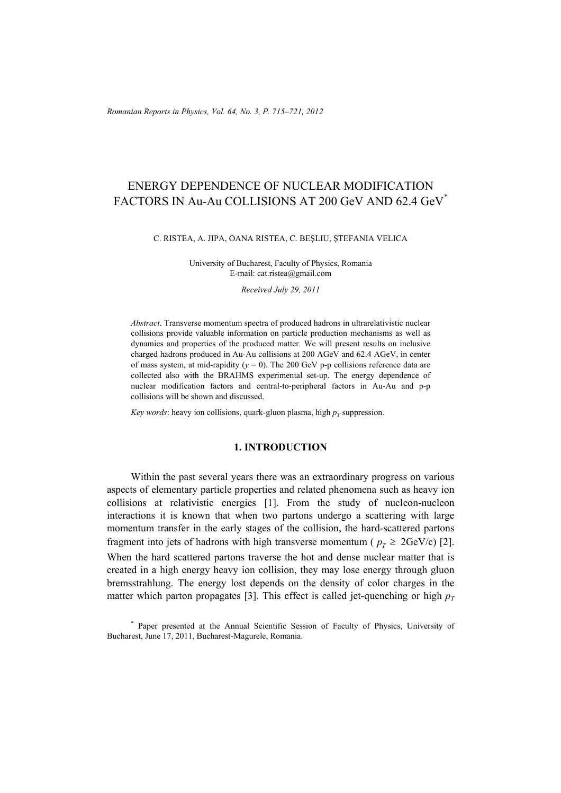# ENERGY DEPENDENCE OF NUCLEAR MODIFICATION FACTORS IN Au-Au COLLISIONS AT 200 GeV AND 62.4 GeV\*

#### C. RISTEA, A. JIPA, OANA RISTEA, C. BEŞLIU, ŞTEFANIA VELICA

University of Bucharest, Faculty of Physics, Romania E-mail: cat.ristea@gmail.com

*Received July 29, 2011* 

*Abstract*. Transverse momentum spectra of produced hadrons in ultrarelativistic nuclear collisions provide valuable information on particle production mechanisms as well as dynamics and properties of the produced matter. We will present results on inclusive charged hadrons produced in Au-Au collisions at 200 AGeV and 62.4 AGeV, in center of mass system, at mid-rapidity ( $y = 0$ ). The 200 GeV p-p collisions reference data are collected also with the BRAHMS experimental set-up. The energy dependence of nuclear modification factors and central-to-peripheral factors in Au-Au and p-p collisions will be shown and discussed.

*Key words*: heavy ion collisions, quark-gluon plasma, high  $p<sub>T</sub>$  suppression.

## **1. INTRODUCTION**

Within the past several years there was an extraordinary progress on various aspects of elementary particle properties and related phenomena such as heavy ion collisions at relativistic energies [1]. From the study of nucleon-nucleon interactions it is known that when two partons undergo a scattering with large momentum transfer in the early stages of the collision, the hard-scattered partons fragment into jets of hadrons with high transverse momentum ( $p<sub>r</sub> \geq 2 \text{GeV/c}$ ) [2]. When the hard scattered partons traverse the hot and dense nuclear matter that is created in a high energy heavy ion collision, they may lose energy through gluon bremsstrahlung. The energy lost depends on the density of color charges in the matter which parton propagates [3]. This effect is called jet-quenching or high  $p_T$ 

<sup>\*</sup> Paper presented at the Annual Scientific Session of Faculty of Physics, University of Bucharest, June 17, 2011, Bucharest-Magurele, Romania.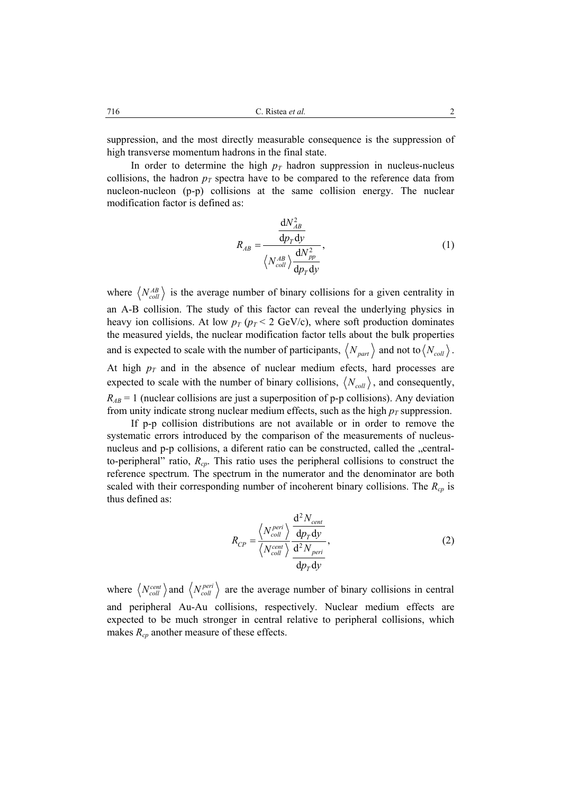suppression, and the most directly measurable consequence is the suppression of high transverse momentum hadrons in the final state.

In order to determine the high  $p_T$  hadron suppression in nucleus-nucleus collisions, the hadron  $p<sub>T</sub>$  spectra have to be compared to the reference data from nucleon-nucleon (p-p) collisions at the same collision energy. The nuclear modification factor is defined as:

$$
R_{AB} = \frac{\frac{dN_{AB}^2}{dp_T dy}}{\langle N_{coll}^{AB} \rangle \frac{dN_{pp}^2}{dp_T dy}},
$$
(1)

where  $\langle N_{coll}^{AB} \rangle$  is the average number of binary collisions for a given centrality in an A-B collision. The study of this factor can reveal the underlying physics in heavy ion collisions. At low  $p_T$  ( $p_T < 2$  GeV/c), where soft production dominates the measured yields, the nuclear modification factor tells about the bulk properties and is expected to scale with the number of participants,  $\langle N_{part} \rangle$  and not to  $\langle N_{coll} \rangle$ . At high  $p_T$  and in the absence of nuclear medium efects, hard processes are expected to scale with the number of binary collisions,  $\langle N_{coll} \rangle$ , and consequently,  $R_{AB} = 1$  (nuclear collisions are just a superposition of p-p collisions). Any deviation from unity indicate strong nuclear medium effects, such as the high  $p_T$  suppression.

If p-p collision distributions are not available or in order to remove the systematic errors introduced by the comparison of the measurements of nucleusnucleus and p-p collisions, a diferent ratio can be constructed, called the "centralto-peripheral" ratio, *Rcp*. This ratio uses the peripheral collisions to construct the reference spectrum. The spectrum in the numerator and the denominator are both scaled with their corresponding number of incoherent binary collisions. The  $R_{cp}$  is thus defined as:

$$
R_{CP} = \frac{\left\langle N_{coll}^{peri} \right\rangle}{\left\langle N_{coll}^{cent} \right\rangle} \frac{\frac{d^2 N_{cent}}{dp_T dy}}{\frac{d^2 N_{peri}}{dp_T dy}},
$$
\n(2)

where  $\langle N_{coll}^{cent} \rangle$  and  $\langle N_{coll}^{peri} \rangle$  are the average number of binary collisions in central and peripheral Au-Au collisions, respectively. Nuclear medium effects are expected to be much stronger in central relative to peripheral collisions, which makes  $R_{cp}$  another measure of these effects.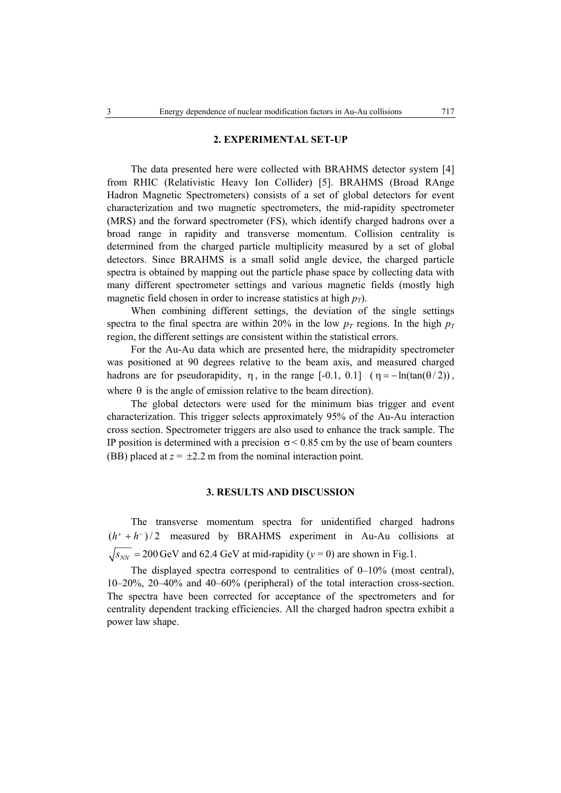## **2. EXPERIMENTAL SET-UP**

The data presented here were collected with BRAHMS detector system [4] from RHIC (Relativistic Heavy Ion Collider) [5]. BRAHMS (Broad RAnge Hadron Magnetic Spectrometers) consists of a set of global detectors for event characterization and two magnetic spectrometers, the mid-rapidity spectrometer (MRS) and the forward spectrometer (FS), which identify charged hadrons over a broad range in rapidity and transverse momentum. Collision centrality is determined from the charged particle multiplicity measured by a set of global detectors. Since BRAHMS is a small solid angle device, the charged particle spectra is obtained by mapping out the particle phase space by collecting data with many different spectrometer settings and various magnetic fields (mostly high magnetic field chosen in order to increase statistics at high  $p_T$ ).

When combining different settings, the deviation of the single settings spectra to the final spectra are within 20% in the low  $p_T$  regions. In the high  $p_T$ region, the different settings are consistent within the statistical errors.

For the Au-Au data which are presented here, the midrapidity spectrometer was positioned at 90 degrees relative to the beam axis, and measured charged hadrons are for pseudorapidity,  $\eta$ , in the range  $[-0.1, 0.1]$  ( $\eta = -\ln(\tan(\theta / 2))$ , where  $\theta$  is the angle of emission relative to the beam direction).

The global detectors were used for the minimum bias trigger and event characterization. This trigger selects approximately 95% of the Au-Au interaction cross section. Spectrometer triggers are also used to enhance the track sample. The IP position is determined with a precision  $\sigma$  < 0.85 cm by the use of beam counters (BB) placed at  $z = \pm 2.2$  m from the nominal interaction point.

## **3. RESULTS AND DISCUSSION**

The transverse momentum spectra for unidentified charged hadrons  $(h^+ + h^-)/2$  measured by BRAHMS experiment in Au-Au collisions at  $\sqrt{s_{NN}}$  = 200 GeV and 62.4 GeV at mid-rapidity ( $y = 0$ ) are shown in Fig.1.

The displayed spectra correspond to centralities of 0–10% (most central), 10–20%, 20–40% and 40–60% (peripheral) of the total interaction cross-section. The spectra have been corrected for acceptance of the spectrometers and for centrality dependent tracking efficiencies. All the charged hadron spectra exhibit a power law shape.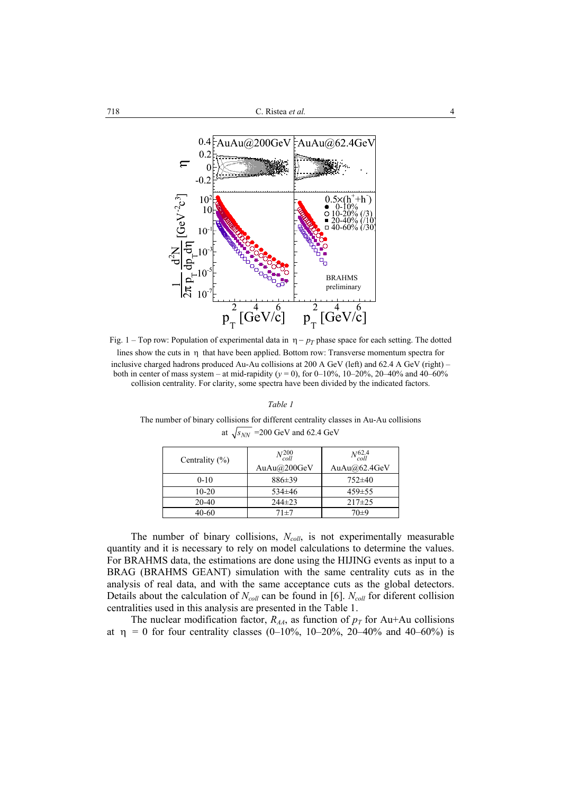

Fig. 1 – Top row: Population of experimental data in  $\eta - p_T$  phase space for each setting. The dotted lines show the cuts in η that have been applied. Bottom row: Transverse momentum spectra for inclusive charged hadrons produced Au-Au collisions at 200 A GeV (left) and 62.4 A GeV (right) – both in center of mass system – at mid-rapidity ( $y = 0$ ), for 0–10%, 10–20%, 20–40% and 40–60% collision centrality. For clarity, some spectra have been divided by the indicated factors.

*Table 1*

The number of binary collisions for different centrality classes in Au-Au collisions at  $\sqrt{s_{NN}}$  = 200 GeV and 62.4 GeV

| Centrality $(\% )$ | $N_{coll}^{200}$<br>AuAu $@200$ GeV | $N_{coll}^{62.4}$<br>AuAu $@62.4$ GeV |
|--------------------|-------------------------------------|---------------------------------------|
| $0 - 10$           | $886 \pm 39$                        | $752\pm40$                            |
| $10 - 20$          | $534\pm46$                          | $459 \pm 55$                          |
| $20-40$            | $244\pm23$                          | $217 \pm 25$                          |
| 40-60              | 71±7                                | $70+9$                                |

The number of binary collisions, *N<sub>coll*</sub>, is not experimentally measurable quantity and it is necessary to rely on model calculations to determine the values. For BRAHMS data, the estimations are done using the HIJING events as input to a BRAG (BRAHMS GEANT) simulation with the same centrality cuts as in the analysis of real data, and with the same acceptance cuts as the global detectors. Details about the calculation of  $N_{coll}$  can be found in [6].  $N_{coll}$  for diferent collision centralities used in this analysis are presented in the Table 1.

The nuclear modification factor,  $R_{AA}$ , as function of  $p_T$  for Au+Au collisions at  $η = 0$  for four centrality classes (0-10%, 10-20%, 20-40% and 40-60%) is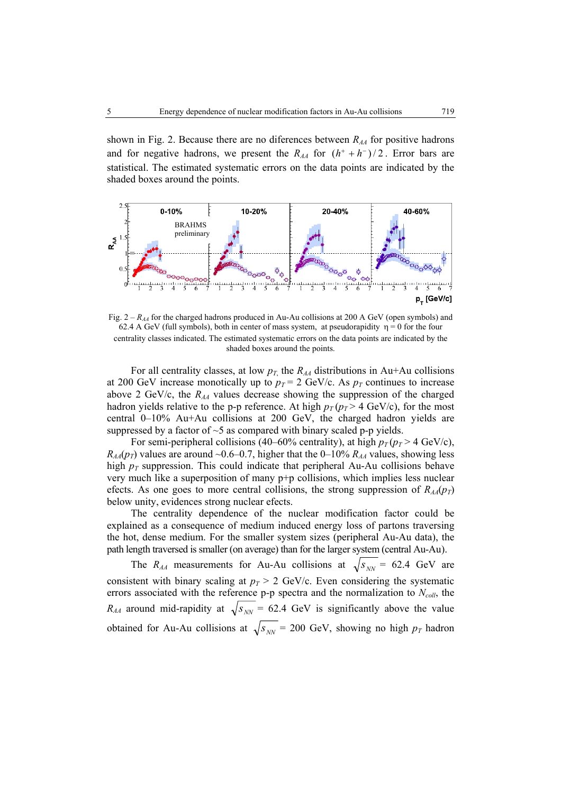shown in Fig. 2. Because there are no diferences between  $R_{AA}$  for positive hadrons and for negative hadrons, we present the  $R_{AA}$  for  $(h^+ + h^-)/2$ . Error bars are statistical. The estimated systematic errors on the data points are indicated by the shaded boxes around the points.



Fig.  $2 - R_{44}$  for the charged hadrons produced in Au-Au collisions at 200 A GeV (open symbols) and 62.4 A GeV (full symbols), both in center of mass system, at pseudorapidity  $\eta = 0$  for the four centrality classes indicated. The estimated systematic errors on the data points are indicated by the shaded boxes around the points.

For all centrality classes, at low  $p_T$ , the  $R_{AA}$  distributions in Au+Au collisions at 200 GeV increase monotically up to  $p_T = 2$  GeV/c. As  $p_T$  continues to increase above 2 GeV/c, the  $R_{AA}$  values decrease showing the suppression of the charged hadron yields relative to the p-p reference. At high  $p_T(p_T > 4 \text{ GeV/c})$ , for the most central 0–10% Au+Au collisions at 200 GeV, the charged hadron yields are suppressed by a factor of  $\sim$ 5 as compared with binary scaled p-p yields.

For semi-peripheral collisions (40–60% centrality), at high  $p_T(p_T > 4 \text{ GeV/c})$ ,  $R_{AA}(p_T)$  values are around ~0.6–0.7, higher that the 0–10%  $R_{AA}$  values, showing less high  $p_T$  suppression. This could indicate that peripheral Au-Au collisions behave very much like a superposition of many p+p collisions, which implies less nuclear efects. As one goes to more central collisions, the strong suppression of  $R_{AA}(p_T)$ below unity, evidences strong nuclear efects.

The centrality dependence of the nuclear modification factor could be explained as a consequence of medium induced energy loss of partons traversing the hot, dense medium. For the smaller system sizes (peripheral Au-Au data), the path length traversed is smaller (on average) than for the larger system (central Au-Au).

The  $R_{AA}$  measurements for Au-Au collisions at  $\sqrt{s_{NN}}$  = 62.4 GeV are consistent with binary scaling at  $p_T > 2$  GeV/c. Even considering the systematic errors associated with the reference  $p$ - $p$  spectra and the normalization to  $N_{coll}$ , the  $R_{AA}$  around mid-rapidity at  $\sqrt{s_{NN}}$  = 62.4 GeV is significantly above the value obtained for Au-Au collisions at  $\sqrt{s_{NN}}$  = 200 GeV, showing no high  $p_T$  hadron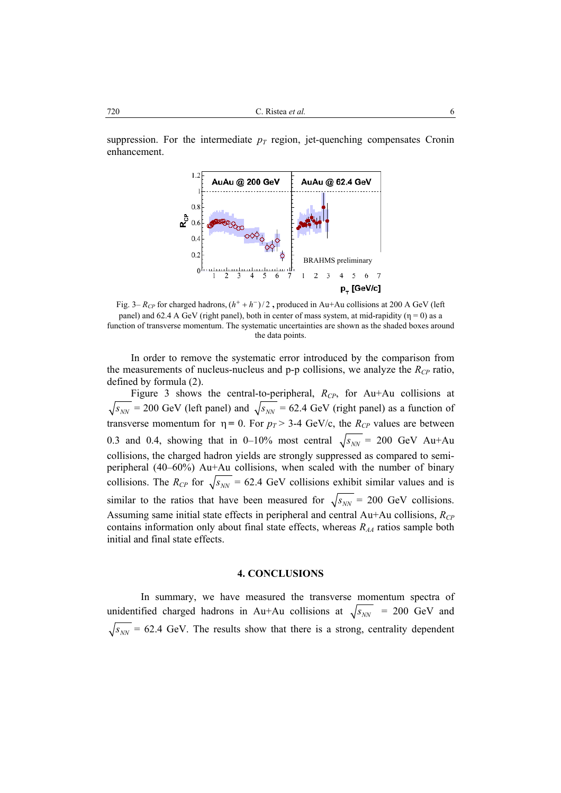suppression. For the intermediate  $p_T$  region, jet-quenching compensates Cronin enhancement.



Fig. 3–  $R_{CP}$  for charged hadrons,  $(h^+ + h^-)/2$ , produced in Au+Au collisions at 200 A GeV (left panel) and 62.4 A GeV (right panel), both in center of mass system, at mid-rapidity ( $\eta = 0$ ) as a function of transverse momentum. The systematic uncertainties are shown as the shaded boxes around the data points.

In order to remove the systematic error introduced by the comparison from the measurements of nucleus-nucleus and  $p-p$  collisions, we analyze the  $R_{CP}$  ratio, defined by formula (2).

Figure 3 shows the central-to-peripheral,  $R_{CP}$ , for Au+Au collisions at  $\sqrt{s_{NN}}$  = 200 GeV (left panel) and  $\sqrt{s_{NN}}$  = 62.4 GeV (right panel) as a function of transverse momentum for  $\eta = 0$ . For  $p_T > 3-4$  GeV/c, the  $R_{CP}$  values are between 0.3 and 0.4, showing that in 0–10% most central  $\sqrt{s_{NN}}$  = 200 GeV Au+Au collisions, the charged hadron yields are strongly suppressed as compared to semiperipheral (40–60%) Au+Au collisions, when scaled with the number of binary collisions. The  $R_{CP}$  for  $\sqrt{s_{NN}}$  = 62.4 GeV collisions exhibit similar values and is similar to the ratios that have been measured for  $\sqrt{s_{NN}}$  = 200 GeV collisions. Assuming same initial state effects in peripheral and central Au+Au collisions, *R<sub>CP</sub>* contains information only about final state effects, whereas  $R_{AA}$  ratios sample both initial and final state effects.

### **4. CONCLUSIONS**

In summary, we have measured the transverse momentum spectra of unidentified charged hadrons in Au+Au collisions at  $\sqrt{s_{NN}}$  = 200 GeV and  $\sqrt{s_{NN}}$  = 62.4 GeV. The results show that there is a strong, centrality dependent